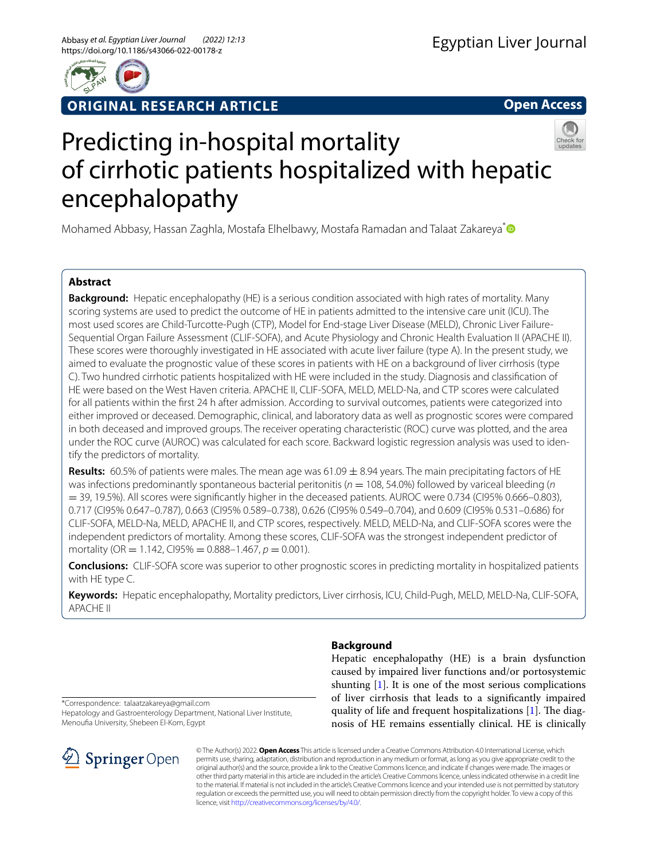

**ORIGINAL RESEARCH ARTICLE**

**Open Access**

# Predicting in-hospital mortality of cirrhotic patients hospitalized with hepatic encephalopathy

Mohamed Abbasy, Hassan Zaghla, Mostafa Elhelbawy, Mostafa Ramadan and Talaat Zakareya<sup>[\\*](http://orcid.org/0000-0001-9370-8267)</sup>

# **Abstract**

**Background:** Hepatic encephalopathy (HE) is a serious condition associated with high rates of mortality. Many scoring systems are used to predict the outcome of HE in patients admitted to the intensive care unit (ICU). The most used scores are Child-Turcotte-Pugh (CTP), Model for End-stage Liver Disease (MELD), Chronic Liver Failure-Sequential Organ Failure Assessment (CLIF-SOFA), and Acute Physiology and Chronic Health Evaluation II (APACHE II). These scores were thoroughly investigated in HE associated with acute liver failure (type A). In the present study, we aimed to evaluate the prognostic value of these scores in patients with HE on a background of liver cirrhosis (type C). Two hundred cirrhotic patients hospitalized with HE were included in the study. Diagnosis and classifcation of HE were based on the West Haven criteria. APACHE II, CLIF-SOFA, MELD, MELD-Na, and CTP scores were calculated for all patients within the first 24 h after admission. According to survival outcomes, patients were categorized into either improved or deceased. Demographic, clinical, and laboratory data as well as prognostic scores were compared in both deceased and improved groups. The receiver operating characteristic (ROC) curve was plotted, and the area under the ROC curve (AUROC) was calculated for each score. Backward logistic regression analysis was used to identify the predictors of mortality.

Results: 60.5% of patients were males. The mean age was 61.09  $\pm$  8.94 years. The main precipitating factors of HE was infections predominantly spontaneous bacterial peritonitis ( $n = 108$ , 54.0%) followed by variceal bleeding (*n* = 39, 19.5%). All scores were signifcantly higher in the deceased patients. AUROC were 0.734 (CI95% 0.666–0.803), 0.717 (CI95% 0.647–0.787), 0.663 (CI95% 0.589–0.738), 0.626 (CI95% 0.549–0.704), and 0.609 (CI95% 0.531–0.686) for CLIF-SOFA, MELD-Na, MELD, APACHE II, and CTP scores, respectively. MELD, MELD-Na, and CLIF-SOFA scores were the independent predictors of mortality. Among these scores, CLIF-SOFA was the strongest independent predictor of mortality (OR = 1.142, Cl95% =  $0.888 - 1.467$ ,  $p = 0.001$ ).

**Conclusions:** CLIF-SOFA score was superior to other prognostic scores in predicting mortality in hospitalized patients with HE type C.

**Keywords:** Hepatic encephalopathy, Mortality predictors, Liver cirrhosis, ICU, Child-Pugh, MELD, MELD-Na, CLIF-SOFA, APACHE II

**Background**

Hepatic encephalopathy (HE) is a brain dysfunction caused by impaired liver functions and/or portosystemic shunting [[1\]](#page-5-0). It is one of the most serious complications of liver cirrhosis that leads to a signifcantly impaired quality of life and frequent hospitalizations  $[1]$  $[1]$ . The diagnosis of HE remains essentially clinical. HE is clinically

\*Correspondence: talaatzakareya@gmail.com Hepatology and Gastroenterology Department, National Liver Institute, Menoufa University, Shebeen El-Kom, Egypt



© The Author(s) 2022. **Open Access** This article is licensed under a Creative Commons Attribution 4.0 International License, which permits use, sharing, adaptation, distribution and reproduction in any medium or format, as long as you give appropriate credit to the original author(s) and the source, provide a link to the Creative Commons licence, and indicate if changes were made. The images or other third party material in this article are included in the article's Creative Commons licence, unless indicated otherwise in a credit line to the material. If material is not included in the article's Creative Commons licence and your intended use is not permitted by statutory regulation or exceeds the permitted use, you will need to obtain permission directly from the copyright holder. To view a copy of this licence, visit [http://creativecommons.org/licenses/by/4.0/.](http://creativecommons.org/licenses/by/4.0/)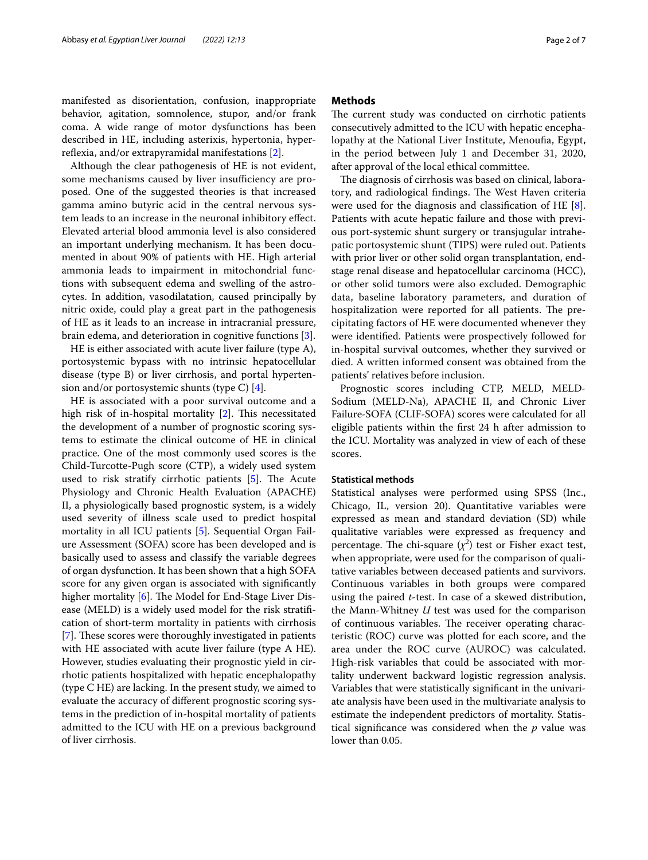manifested as disorientation, confusion, inappropriate behavior, agitation, somnolence, stupor, and/or frank coma. A wide range of motor dysfunctions has been described in HE, including asterixis, hypertonia, hyperreflexia, and/or extrapyramidal manifestations  $[2]$  $[2]$ .

Although the clear pathogenesis of HE is not evident, some mechanisms caused by liver insufficiency are proposed. One of the suggested theories is that increased gamma amino butyric acid in the central nervous system leads to an increase in the neuronal inhibitory efect. Elevated arterial blood ammonia level is also considered an important underlying mechanism. It has been documented in about 90% of patients with HE. High arterial ammonia leads to impairment in mitochondrial functions with subsequent edema and swelling of the astrocytes. In addition, vasodilatation, caused principally by nitric oxide, could play a great part in the pathogenesis of HE as it leads to an increase in intracranial pressure, brain edema, and deterioration in cognitive functions [[3\]](#page-5-2).

HE is either associated with acute liver failure (type A), portosystemic bypass with no intrinsic hepatocellular disease (type B) or liver cirrhosis, and portal hypertension and/or portosystemic shunts (type C)  $[4]$  $[4]$ .

HE is associated with a poor survival outcome and a high risk of in-hospital mortality  $[2]$  $[2]$  $[2]$ . This necessitated the development of a number of prognostic scoring systems to estimate the clinical outcome of HE in clinical practice. One of the most commonly used scores is the Child-Turcotte-Pugh score (CTP), a widely used system used to risk stratify cirrhotic patients  $[5]$  $[5]$ . The Acute Physiology and Chronic Health Evaluation (APACHE) II, a physiologically based prognostic system, is a widely used severity of illness scale used to predict hospital mortality in all ICU patients [[5\]](#page-6-1). Sequential Organ Failure Assessment (SOFA) score has been developed and is basically used to assess and classify the variable degrees of organ dysfunction. It has been shown that a high SOFA score for any given organ is associated with signifcantly higher mortality [[6\]](#page-6-2). The Model for End-Stage Liver Disease (MELD) is a widely used model for the risk stratifcation of short-term mortality in patients with cirrhosis [[7\]](#page-6-3). These scores were thoroughly investigated in patients with HE associated with acute liver failure (type A HE). However, studies evaluating their prognostic yield in cirrhotic patients hospitalized with hepatic encephalopathy (type C HE) are lacking. In the present study, we aimed to evaluate the accuracy of diferent prognostic scoring systems in the prediction of in-hospital mortality of patients admitted to the ICU with HE on a previous background of liver cirrhosis.

## **Methods**

The current study was conducted on cirrhotic patients consecutively admitted to the ICU with hepatic encephalopathy at the National Liver Institute, Menoufa, Egypt, in the period between July 1 and December 31, 2020, after approval of the local ethical committee.

The diagnosis of cirrhosis was based on clinical, laboratory, and radiological findings. The West Haven criteria were used for the diagnosis and classifcation of HE [\[8](#page-6-4)]. Patients with acute hepatic failure and those with previous port-systemic shunt surgery or transjugular intrahepatic portosystemic shunt (TIPS) were ruled out. Patients with prior liver or other solid organ transplantation, endstage renal disease and hepatocellular carcinoma (HCC), or other solid tumors were also excluded. Demographic data, baseline laboratory parameters, and duration of hospitalization were reported for all patients. The precipitating factors of HE were documented whenever they were identifed. Patients were prospectively followed for in-hospital survival outcomes, whether they survived or died. A written informed consent was obtained from the patients' relatives before inclusion.

Prognostic scores including CTP, MELD, MELD-Sodium (MELD-Na), APACHE II, and Chronic Liver Failure-SOFA (CLIF-SOFA) scores were calculated for all eligible patients within the frst 24 h after admission to the ICU. Mortality was analyzed in view of each of these scores.

## **Statistical methods**

Statistical analyses were performed using SPSS (Inc., Chicago, IL, version 20). Quantitative variables were expressed as mean and standard deviation (SD) while qualitative variables were expressed as frequency and percentage. The chi-square  $(\chi^2)$  test or Fisher exact test, when appropriate, were used for the comparison of qualitative variables between deceased patients and survivors. Continuous variables in both groups were compared using the paired *t*-test. In case of a skewed distribution, the Mann-Whitney *U* test was used for the comparison of continuous variables. The receiver operating characteristic (ROC) curve was plotted for each score, and the area under the ROC curve (AUROC) was calculated. High-risk variables that could be associated with mortality underwent backward logistic regression analysis. Variables that were statistically signifcant in the univariate analysis have been used in the multivariate analysis to estimate the independent predictors of mortality. Statistical signifcance was considered when the *p* value was lower than 0.05.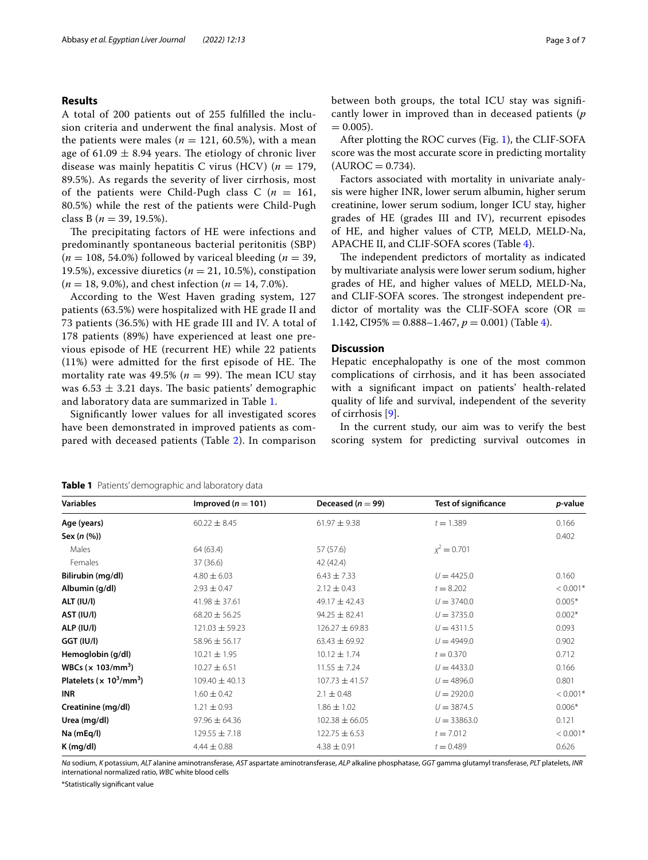## **Results**

A total of 200 patients out of 255 fulflled the inclusion criteria and underwent the fnal analysis. Most of the patients were males ( $n = 121, 60.5\%$ ), with a mean age of  $61.09 \pm 8.94$  years. The etiology of chronic liver disease was mainly hepatitis C virus (HCV)  $(n = 179)$ , 89.5%). As regards the severity of liver cirrhosis, most of the patients were Child-Pugh class  $C(n = 161,$ 80.5%) while the rest of the patients were Child-Pugh class B (*n* = 39, 19.5%).

The precipitating factors of HE were infections and predominantly spontaneous bacterial peritonitis (SBP)  $(n = 108, 54.0\%)$  followed by variceal bleeding  $(n = 39, 100)$ 19.5%), excessive diuretics  $(n = 21, 10.5)$ , constipation (*n* = 18, 9.0%), and chest infection (*n* = 14, 7.0%).

According to the West Haven grading system, 127 patients (63.5%) were hospitalized with HE grade II and 73 patients (36.5%) with HE grade III and IV. A total of 178 patients (89%) have experienced at least one previous episode of HE (recurrent HE) while 22 patients  $(11%)$  were admitted for the first episode of HE. The mortality rate was  $49.5\%$  ( $n = 99$ ). The mean ICU stay was  $6.53 \pm 3.21$  days. The basic patients' demographic and laboratory data are summarized in Table [1.](#page-2-0)

Signifcantly lower values for all investigated scores have been demonstrated in improved patients as compared with deceased patients (Table [2\)](#page-3-0). In comparison between both groups, the total ICU stay was signifcantly lower in improved than in deceased patients (*p*  $= 0.005$ ).

After plotting the ROC curves (Fig. [1\)](#page-3-1), the CLIF-SOFA score was the most accurate score in predicting mortality  $(AUROC = 0.734)$ .

Factors associated with mortality in univariate analysis were higher INR, lower serum albumin, higher serum creatinine, lower serum sodium, longer ICU stay, higher grades of HE (grades III and IV), recurrent episodes of HE, and higher values of CTP, MELD, MELD-Na, APACHE II, and CLIF-SOFA scores (Table [4](#page-4-0)).

The independent predictors of mortality as indicated by multivariate analysis were lower serum sodium, higher grades of HE, and higher values of MELD, MELD-Na, and CLIF-SOFA scores. The strongest independent predictor of mortality was the CLIF-SOFA score (OR  $=$ 1.142, CI95% =  $0.888 - 1.467$ ,  $p = 0.001$ ) (Table [4](#page-4-0)).

### **Discussion**

Hepatic encephalopathy is one of the most common complications of cirrhosis, and it has been associated with a signifcant impact on patients' health-related quality of life and survival, independent of the severity of cirrhosis [[9\]](#page-6-5).

In the current study, our aim was to verify the best scoring system for predicting survival outcomes in

*Na* sodium, *K* potassium, *ALT* alanine aminotransferase, *AST* aspartate aminotransferase, *ALP* alkaline phosphatase, *GGT* gamma glutamyl transferase, *PLT* platelets, *INR* international normalized ratio, *WBC* white blood cells

\*Statistically signifcant value

<span id="page-2-0"></span>

| <b>Variables</b>                                        | Improved ( $n = 101$ ) | Deceased ( $n = 99$ ) | <b>Test of significance</b> | p-value                |
|---------------------------------------------------------|------------------------|-----------------------|-----------------------------|------------------------|
| Age (years)                                             | $60.22 \pm 8.45$       | $61.97 \pm 9.38$      | $t = 1.389$                 | 0.166                  |
| Sex (n (%))                                             |                        |                       |                             | 0.402                  |
| Males                                                   | 64 (63.4)              | 57 (57.6)             | $x^2 = 0.701$               |                        |
| Females                                                 | 37 (36.6)              | 42 (42.4)             |                             |                        |
| Bilirubin (mg/dl)                                       | $4.80 \pm 6.03$        | $6.43 \pm 7.33$       | $U = 4425.0$                | 0.160                  |
| Albumin (g/dl)                                          | $2.93 \pm 0.47$        | $2.12 \pm 0.43$       | $t = 8.202$                 | $< 0.001$ <sup>*</sup> |
| <b>ALT (IU/I)</b>                                       | $41.98 \pm 37.61$      | 49.17 $\pm$ 42.43     | $U = 3740.0$                | $0.005*$               |
| AST (IU/I)                                              | $68.20 \pm 56.25$      | $94.25 \pm 82.41$     | $U = 3735.0$                | $0.002*$               |
| ALP (IU/I)                                              | $121.03 \pm 59.23$     | $126.27 \pm 69.83$    | $U = 4311.5$                | 0.093                  |
| GGT (IU/I)                                              | $58.96 \pm 56.17$      | $63.43 \pm 69.92$     | $U = 4949.0$                | 0.902                  |
| Hemoglobin (g/dl)                                       | $10.21 \pm 1.95$       | $10.12 \pm 1.74$      | $t = 0.370$                 | 0.712                  |
| WBCs $(x 103/mm^3)$                                     | $10.27 \pm 6.51$       | $11.55 \pm 7.24$      | $U = 4433.0$                | 0.166                  |
| Platelets ( $\times$ 10 <sup>3</sup> /mm <sup>3</sup> ) | $109.40 \pm 40.13$     | $107.73 \pm 41.57$    | $U = 4896.0$                | 0.801                  |
| <b>INR</b>                                              | $1.60 \pm 0.42$        | $2.1 \pm 0.48$        | $U = 2920.0$                | $< 0.001$ <sup>*</sup> |
| Creatinine (mg/dl)                                      | $1.21 \pm 0.93$        | $1.86 \pm 1.02$       | $U = 3874.5$                | $0.006*$               |
| Urea (mg/dl)                                            | $97.96 \pm 64.36$      | $102.38 \pm 66.05$    | $U = 33863.0$               | 0.121                  |
| Na (mEq/l)                                              | $129.55 \pm 7.18$      | $122.75 \pm 6.53$     | $t = 7.012$                 | $< 0.001$ <sup>*</sup> |
| K (ma/dl)                                               | $4.44 \pm 0.88$        | $4.38 \pm 0.91$       | $t = 0.489$                 | 0.626                  |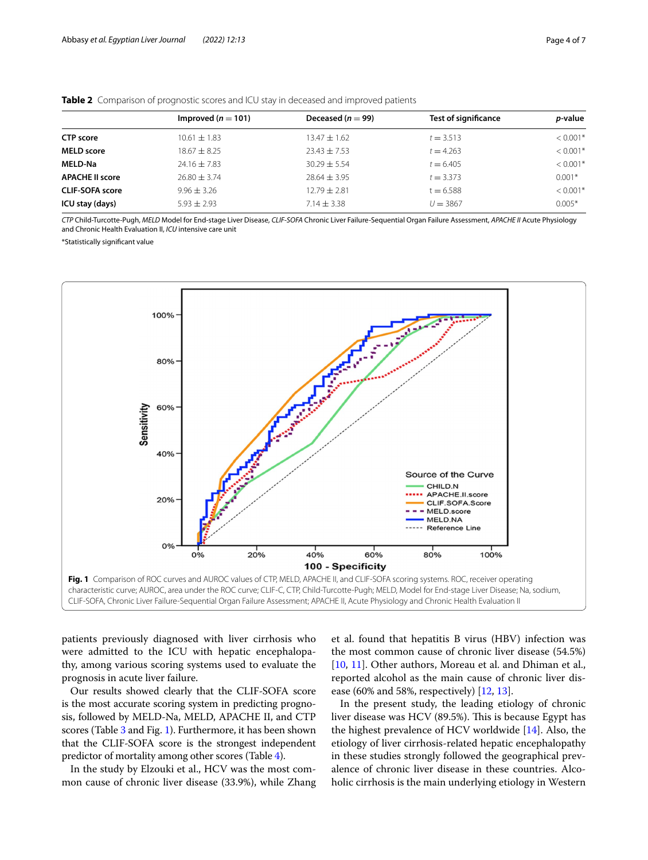|                        | Improved ( $n = 101$ ) | Deceased ( $n = 99$ ) | <b>Test of significance</b> | <i>p</i> -value |
|------------------------|------------------------|-----------------------|-----------------------------|-----------------|
| <b>CTP</b> score       | $10.61 \pm 1.83$       | $13.47 \pm 1.62$      | $t = 3.513$                 | $< 0.001*$      |
| <b>MELD score</b>      | $18.67 \pm 8.25$       | $23.43 \pm 7.53$      | $t = 4.263$                 | $< 0.001*$      |
| <b>MELD-Na</b>         | $24.16 \pm 7.83$       | $30.29 \pm 5.54$      | $t = 6.405$                 | $< 0.001*$      |
| <b>APACHE II score</b> | $76.80 + 3.74$         | $78.64 + 3.95$        | $t = 3.373$                 | $0.001*$        |
| <b>CLIF-SOFA score</b> | $9.96 + 3.26$          | $12.79 + 2.81$        | $t = 6.588$                 | $< 0.001*$      |
| ICU stay (days)        | $5.93 + 2.93$          | $7.14 \pm 3.38$       | $U = 3867$                  | $0.005*$        |

<span id="page-3-0"></span>

*CTP* Child-Turcotte-Pugh, *MELD* Model for End-stage Liver Disease, *CLIF-SOFA* Chronic Liver Failure-Sequential Organ Failure Assessment, *APACHE II* Acute Physiology and Chronic Health Evaluation II, *ICU* intensive care unit

\*Statistically signifcant value



<span id="page-3-1"></span>characteristic curve; AUROC, area under the ROC curve; CLIF-C, CTP, Child-Turcotte-Pugh; MELD, Model for End-stage Liver Disease; Na, sodium, CLIF-SOFA, Chronic Liver Failure-Sequential Organ Failure Assessment; APACHE II, Acute Physiology and Chronic Health Evaluation II

patients previously diagnosed with liver cirrhosis who were admitted to the ICU with hepatic encephalopathy, among various scoring systems used to evaluate the prognosis in acute liver failure.

Our results showed clearly that the CLIF-SOFA score is the most accurate scoring system in predicting prognosis, followed by MELD-Na, MELD, APACHE II, and CTP scores (Table [3](#page-4-1) and Fig. [1](#page-3-1)). Furthermore, it has been shown that the CLIF-SOFA score is the strongest independent predictor of mortality among other scores (Table [4](#page-4-0)).

In the study by Elzouki et al., HCV was the most common cause of chronic liver disease (33.9%), while Zhang

et al. found that hepatitis B virus (HBV) infection was the most common cause of chronic liver disease (54.5%) [[10,](#page-6-6) [11\]](#page-6-7). Other authors, Moreau et al. and Dhiman et al., reported alcohol as the main cause of chronic liver disease (60% and 58%, respectively) [\[12](#page-6-8), [13\]](#page-6-9).

In the present study, the leading etiology of chronic liver disease was HCV (89.5%). This is because Egypt has the highest prevalence of HCV worldwide [[14\]](#page-6-10). Also, the etiology of liver cirrhosis-related hepatic encephalopathy in these studies strongly followed the geographical prevalence of chronic liver disease in these countries. Alcoholic cirrhosis is the main underlying etiology in Western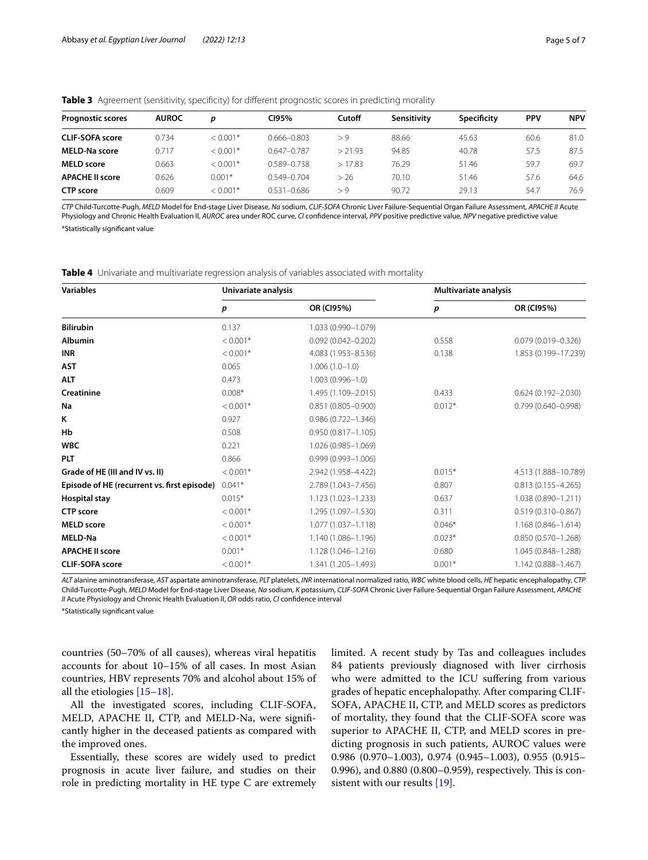| <b>Prognostic scores</b> | <b>AUROC</b> | D          | CI95%           | Cutoff  | Sensitivity | Specificity | <b>PPV</b> | <b>NPV</b> |
|--------------------------|--------------|------------|-----------------|---------|-------------|-------------|------------|------------|
| <b>CLIF-SOFA score</b>   | 0.734        | $< 0.001*$ | $0.666 - 0.803$ | > 9     | 88.66       | 45.63       | 60.6       | 81.0       |
| <b>MELD-Na score</b>     | 0.717        | $< 0.001*$ | $0.647 - 0.787$ | > 21.93 | 94.85       | 40.78       | 57.5       | 87.5       |
| <b>MELD</b> score        | 0.663        | $< 0.001*$ | 0.589-0.738     | >17.83  | 76.29       | 51.46       | 59.7       | 69.7       |
| <b>APACHE II score</b>   | 0.626        | $0.001*$   | $0.549 - 0.704$ | > 26    | 70.10       | 51.46       | 57.6       | 64.6       |
| <b>CTP</b> score         | 0.609        | $< 0.001*$ | $0.531 - 0.686$ | > 9     | 90.72       | 29.13       | 54.7       | 76.9       |

<span id="page-4-1"></span>**Table 3** Agreement (sensitivity, specifcity) for diferent prognostic scores in predicting morality

*CTP* Child-Turcotte-Pugh, *MELD* Model for End-stage Liver Disease, *Na* sodium, *CLIF-SOFA* Chronic Liver Failure-Sequential Organ Failure Assessment, *APACHE II* Acute Physiology and Chronic Health Evaluation II, *AUROC* area under ROC curve, *CI* confdence interval, *PPV* positive predictive value, *NPV* negative predictive value \*Statistically signifcant value

<span id="page-4-0"></span>**Table 4** Univariate and multivariate regression analysis of variables associated with mortality

| <b>Variables</b>                            | Univariate analysis |                        | Multivariate analysis |                        |  |
|---------------------------------------------|---------------------|------------------------|-----------------------|------------------------|--|
|                                             | р                   | OR (CI95%)             | p                     | OR (CI95%)             |  |
| <b>Bilirubin</b>                            | 0.137               | 1.033 (0.990-1.079)    |                       |                        |  |
| <b>Albumin</b>                              | $< 0.001*$          | $0.092(0.042 - 0.202)$ | 0.558                 | $0.079(0.019 - 0.326)$ |  |
| <b>INR</b>                                  | $< 0.001*$          | 4.083 (1.953-8.536)    | 0.138                 | 1.853 (0.199-17.239)   |  |
| <b>AST</b>                                  | 0.065               | $1.006(1.0-1.0)$       |                       |                        |  |
| <b>ALT</b>                                  | 0.473               | $1.003(0.996 - 1.0)$   |                       |                        |  |
| Creatinine                                  | $0.008*$            | 1.495 (1.109-2.015)    | 0.433                 | $0.624(0.192 - 2.030)$ |  |
| Na                                          | $< 0.001*$          | $0.851(0.805 - 0.900)$ | $0.012*$              | $0.799(0.640 - 0.998)$ |  |
| K                                           | 0.927               | $0.986(0.722 - 1.346)$ |                       |                        |  |
| Hb                                          | 0.508               | $0.950(0.817 - 1.105)$ |                       |                        |  |
| <b>WBC</b>                                  | 0.221               | 1.026 (0.985-1.069)    |                       |                        |  |
| PLT                                         | 0.866               | $0.999(0.993 - 1.006)$ |                       |                        |  |
| Grade of HE (III and IV vs. II)             | $< 0.001*$          | 2.942 (1.958-4.422)    | $0.015*$              | 4.513 (1.888-10.789)   |  |
| Episode of HE (recurrent vs. first episode) | $0.041*$            | 2.789 (1.043-7.456)    | 0.807                 | $0.813(0.155 - 4.265)$ |  |
| <b>Hospital stay</b>                        | $0.015*$            | 1.123 (1.023-1.233)    | 0.637                 | 1.038 (0.890-1.211)    |  |
| <b>CTP</b> score                            | $< 0.001*$          | 1.295 (1.097-1.530)    | 0.311                 | $0.519(0.310 - 0.867)$ |  |
| <b>MELD</b> score                           | $< 0.001*$          | 1.077 (1.037-1.118)    | $0.046*$              | $1.168(0.846 - 1.614)$ |  |
| <b>MELD-Na</b>                              | $< 0.001*$          | 1.140 (1.086-1.196)    | $0.023*$              | $0.850(0.570 - 1.268)$ |  |
| <b>APACHE II score</b>                      | $0.001*$            | 1.128 (1.046-1.216)    | 0.680                 | 1.045 (0.848-1.288)    |  |
| <b>CLIF-SOFA score</b>                      | $< 0.001*$          | 1.341 (1.205-1.493)    | $0.001*$              | 1.142 (0.888-1.467)    |  |

*ALT* alanine aminotransferase, *AST* aspartate aminotransferase, *PLT* platelets, *INR* international normalized ratio, *WBC* white blood cells, *HE* hepatic encephalopathy, *CTP* Child-Turcotte-Pugh, *MELD* Model for End-stage Liver Disease, *Na* sodium, *K* potassium, *CLIF-SOFA* Chronic Liver Failure-Sequential Organ Failure Assessment, *APACHE II* Acute Physiology and Chronic Health Evaluation II, *OR* odds ratio, *CI* confdence interval

\*Statistically signifcant value

countries (50–70% of all causes), whereas viral hepatitis accounts for about 10–15% of all cases. In most Asian countries, HBV represents 70% and alcohol about 15% of all the etiologies [\[15](#page-6-11)[–18](#page-6-12)].

All the investigated scores, including CLIF-SOFA, MELD, APACHE II, CTP, and MELD-Na, were signifcantly higher in the deceased patients as compared with the improved ones.

Essentially, these scores are widely used to predict prognosis in acute liver failure, and studies on their role in predicting mortality in HE type C are extremely limited. A recent study by Tas and colleagues includes 84 patients previously diagnosed with liver cirrhosis who were admitted to the ICU suffering from various grades of hepatic encephalopathy. After comparing CLIF-SOFA, APACHE II, CTP, and MELD scores as predictors of mortality, they found that the CLIF-SOFA score was superior to APACHE II, CTP, and MELD scores in predicting prognosis in such patients, AUROC values were 0.986 (0.970–1.003), 0.974 (0.945–1.003), 0.955 (0.915– 0.996), and 0.880 (0.800–0.959), respectively. This is consistent with our results [\[19](#page-6-13)].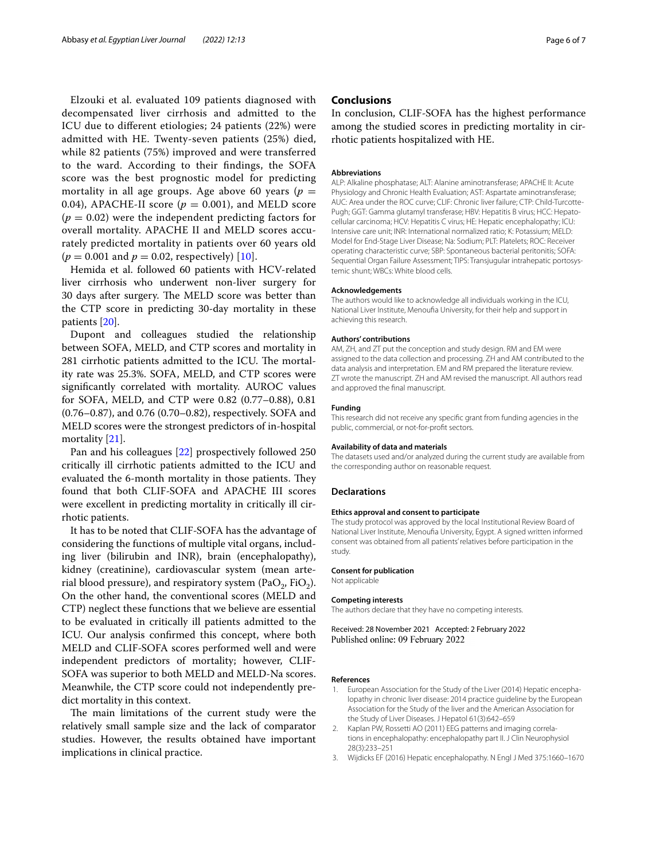Elzouki et al. evaluated 109 patients diagnosed with decompensated liver cirrhosis and admitted to the ICU due to diferent etiologies; 24 patients (22%) were admitted with HE. Twenty-seven patients (25%) died, while 82 patients (75%) improved and were transferred to the ward. According to their fndings, the SOFA score was the best prognostic model for predicting mortality in all age groups. Age above 60 years ( $p =$ 0.04), APACHE-II score ( $p = 0.001$ ), and MELD score  $(p = 0.02)$  were the independent predicting factors for overall mortality. APACHE II and MELD scores accurately predicted mortality in patients over 60 years old  $(p = 0.001$  and  $p = 0.02$ , respectively) [[10](#page-6-6)].

Hemida et al. followed 60 patients with HCV-related liver cirrhosis who underwent non-liver surgery for 30 days after surgery. The MELD score was better than the CTP score in predicting 30-day mortality in these patients [[20\]](#page-6-14).

Dupont and colleagues studied the relationship between SOFA, MELD, and CTP scores and mortality in 281 cirrhotic patients admitted to the ICU. The mortality rate was 25.3%. SOFA, MELD, and CTP scores were signifcantly correlated with mortality. AUROC values for SOFA, MELD, and CTP were 0.82 (0.77–0.88), 0.81 (0.76–0.87), and 0.76 (0.70–0.82), respectively. SOFA and MELD scores were the strongest predictors of in-hospital mortality [\[21\]](#page-6-15).

Pan and his colleagues [\[22](#page-6-16)] prospectively followed 250 critically ill cirrhotic patients admitted to the ICU and evaluated the 6-month mortality in those patients. They found that both CLIF-SOFA and APACHE III scores were excellent in predicting mortality in critically ill cirrhotic patients.

It has to be noted that CLIF-SOFA has the advantage of considering the functions of multiple vital organs, including liver (bilirubin and INR), brain (encephalopathy), kidney (creatinine), cardiovascular system (mean arterial blood pressure), and respiratory system (PaO<sub>2</sub>, FiO<sub>2</sub>). On the other hand, the conventional scores (MELD and CTP) neglect these functions that we believe are essential to be evaluated in critically ill patients admitted to the ICU. Our analysis confrmed this concept, where both MELD and CLIF-SOFA scores performed well and were independent predictors of mortality; however, CLIF-SOFA was superior to both MELD and MELD-Na scores. Meanwhile, the CTP score could not independently predict mortality in this context.

The main limitations of the current study were the relatively small sample size and the lack of comparator studies. However, the results obtained have important implications in clinical practice.

## **Conclusions**

In conclusion, CLIF-SOFA has the highest performance among the studied scores in predicting mortality in cirrhotic patients hospitalized with HE.

## **Abbreviations**

ALP: Alkaline phosphatase; ALT: Alanine aminotransferase; APACHE II: Acute Physiology and Chronic Health Evaluation; AST: Aspartate aminotransferase; AUC: Area under the ROC curve; CLIF: Chronic liver failure; CTP: Child-Turcotte-Pugh; GGT: Gamma glutamyl transferase; HBV: Hepatitis B virus; HCC: Hepatocellular carcinoma; HCV: Hepatitis C virus; HE: Hepatic encephalopathy; ICU: Intensive care unit; INR: International normalized ratio; K: Potassium; MELD: Model for End-Stage Liver Disease; Na: Sodium; PLT: Platelets; ROC: Receiver operating characteristic curve; SBP: Spontaneous bacterial peritonitis; SOFA: Sequential Organ Failure Assessment; TIPS: Transjugular intrahepatic portosystemic shunt; WBCs: White blood cells.

#### **Acknowledgements**

The authors would like to acknowledge all individuals working in the ICU, National Liver Institute, Menoufa University, for their help and support in achieving this research.

#### **Authors' contributions**

AM, ZH, and ZT put the conception and study design. RM and EM were assigned to the data collection and processing. ZH and AM contributed to the data analysis and interpretation. EM and RM prepared the literature review. ZT wrote the manuscript. ZH and AM revised the manuscript. All authors read and approved the fnal manuscript.

## **Funding**

This research did not receive any specifc grant from funding agencies in the public, commercial, or not-for-proft sectors.

#### **Availability of data and materials**

The datasets used and/or analyzed during the current study are available from the corresponding author on reasonable request.

#### **Declarations**

#### **Ethics approval and consent to participate**

The study protocol was approved by the local Institutional Review Board of National Liver Institute, Menoufa University, Egypt. A signed written informed consent was obtained from all patients' relatives before participation in the study.

#### **Consent for publication**

Not applicable

#### **Competing interests**

The authors declare that they have no competing interests.

Received: 28 November 2021 Accepted: 2 February 2022 Published online: 09 February 2022

#### **References**

- <span id="page-5-0"></span>1. European Association for the Study of the Liver (2014) Hepatic encephalopathy in chronic liver disease: 2014 practice guideline by the European Association for the Study of the liver and the American Association for the Study of Liver Diseases. J Hepatol 61(3):642–659
- <span id="page-5-1"></span>2. Kaplan PW, Rossetti AO (2011) EEG patterns and imaging correlations in encephalopathy: encephalopathy part II. J Clin Neurophysiol 28(3):233–251
- <span id="page-5-2"></span>3. Wijdicks EF (2016) Hepatic encephalopathy. N Engl J Med 375:1660–1670